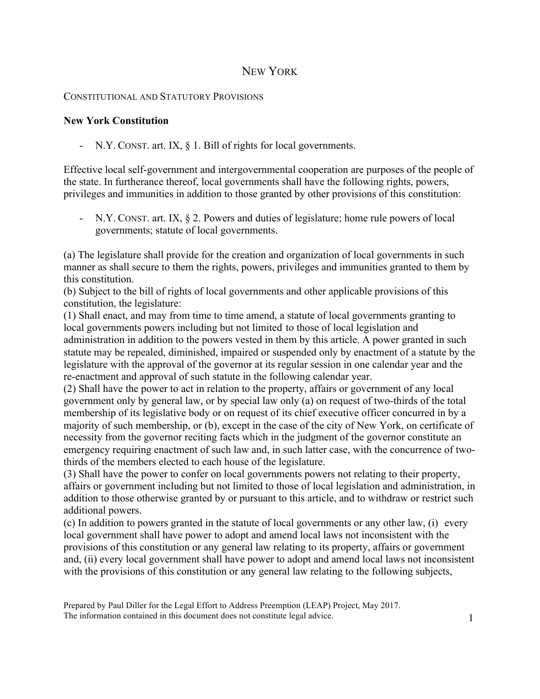# NEW YORK

### CONSTITUTIONAL AND STATUTORY PROVISIONS

### **New York Constitution**

- N.Y. CONST. art. IX, § 1. Bill of rights for local governments.

Effective local self-government and intergovernmental cooperation are purposes of the people of the state. In furtherance thereof, local governments shall have the following rights, powers, privileges and immunities in addition to those granted by other provisions of this constitution:

- N.Y. CONST. art. IX, § 2. Powers and duties of legislature; home rule powers of local governments; statute of local governments.

(a) The legislature shall provide for the creation and organization of local governments in such manner as shall secure to them the rights, powers, privileges and immunities granted to them by this constitution.

(b) Subject to the bill of rights of local governments and other applicable provisions of this constitution, the legislature:

(1) Shall enact, and may from time to time amend, a statute of local governments granting to local governments powers including but not limited to those of local legislation and administration in addition to the powers vested in them by this article. A power granted in such statute may be repealed, diminished, impaired or suspended only by enactment of a statute by the legislature with the approval of the governor at its regular session in one calendar year and the re-enactment and approval of such statute in the following calendar year.

(2) Shall have the power to act in relation to the property, affairs or government of any local government only by general law, or by special law only (a) on request of two-thirds of the total membership of its legislative body or on request of its chief executive officer concurred in by a majority of such membership, or (b), except in the case of the city of New York, on certificate of necessity from the governor reciting facts which in the judgment of the governor constitute an emergency requiring enactment of such law and, in such latter case, with the concurrence of twothirds of the members elected to each house of the legislature.

(3) Shall have the power to confer on local governments powers not relating to their property, affairs or government including but not limited to those of local legislation and administration, in addition to those otherwise granted by or pursuant to this article, and to withdraw or restrict such additional powers.

(c) In addition to powers granted in the statute of local governments or any other law, (i) every local government shall have power to adopt and amend local laws not inconsistent with the provisions of this constitution or any general law relating to its property, affairs or government and, (ii) every local government shall have power to adopt and amend local laws not inconsistent with the provisions of this constitution or any general law relating to the following subjects,

Prepared by Paul Diller for the Legal Effort to Address Preemption (LEAP) Project, May 2017. The information contained in this document does not constitute legal advice.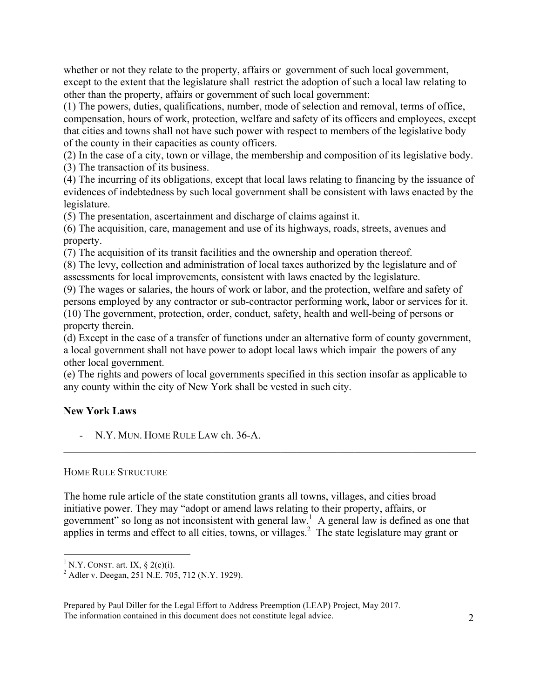whether or not they relate to the property, affairs or government of such local government, except to the extent that the legislature shall restrict the adoption of such a local law relating to other than the property, affairs or government of such local government:

(1) The powers, duties, qualifications, number, mode of selection and removal, terms of office, compensation, hours of work, protection, welfare and safety of its officers and employees, except that cities and towns shall not have such power with respect to members of the legislative body of the county in their capacities as county officers.

(2) In the case of a city, town or village, the membership and composition of its legislative body. (3) The transaction of its business.

(4) The incurring of its obligations, except that local laws relating to financing by the issuance of evidences of indebtedness by such local government shall be consistent with laws enacted by the legislature.

(5) The presentation, ascertainment and discharge of claims against it.

(6) The acquisition, care, management and use of its highways, roads, streets, avenues and property.

(7) The acquisition of its transit facilities and the ownership and operation thereof.

(8) The levy, collection and administration of local taxes authorized by the legislature and of assessments for local improvements, consistent with laws enacted by the legislature.

(9) The wages or salaries, the hours of work or labor, and the protection, welfare and safety of persons employed by any contractor or sub-contractor performing work, labor or services for it. (10) The government, protection, order, conduct, safety, health and well-being of persons or property therein.

(d) Except in the case of a transfer of functions under an alternative form of county government, a local government shall not have power to adopt local laws which impair the powers of any other local government.

(e) The rights and powers of local governments specified in this section insofar as applicable to any county within the city of New York shall be vested in such city.

## **New York Laws**

- N.Y. MUN. HOME RULE LAW ch. 36-A.

#### HOME RULE STRUCTURE

The home rule article of the state constitution grants all towns, villages, and cities broad initiative power. They may "adopt or amend laws relating to their property, affairs, or government" so long as not inconsistent with general law.<sup>1</sup> A general law is defined as one that applies in terms and effect to all cities, towns, or villages.<sup>2</sup> The state legislature may grant or

 $\mathcal{L}_\mathcal{L} = \{ \mathcal{L}_\mathcal{L} = \{ \mathcal{L}_\mathcal{L} = \{ \mathcal{L}_\mathcal{L} = \{ \mathcal{L}_\mathcal{L} = \{ \mathcal{L}_\mathcal{L} = \{ \mathcal{L}_\mathcal{L} = \{ \mathcal{L}_\mathcal{L} = \{ \mathcal{L}_\mathcal{L} = \{ \mathcal{L}_\mathcal{L} = \{ \mathcal{L}_\mathcal{L} = \{ \mathcal{L}_\mathcal{L} = \{ \mathcal{L}_\mathcal{L} = \{ \mathcal{L}_\mathcal{L} = \{ \mathcal{L}_\mathcal{$ 

Prepared by Paul Diller for the Legal Effort to Address Preemption (LEAP) Project, May 2017. The information contained in this document does not constitute legal advice. 2

<sup>&</sup>lt;sup>1</sup> N.Y. CONST. art. IX,  $\S$  2(c)(i).

 $A$ dler v. Deegan, 251 N.E. 705, 712 (N.Y. 1929).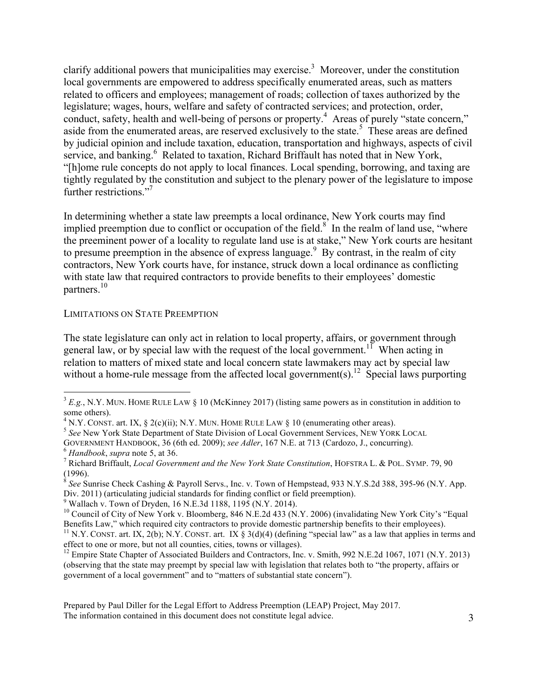clarify additional powers that municipalities may exercise.<sup>3</sup> Moreover, under the constitution local governments are empowered to address specifically enumerated areas, such as matters related to officers and employees; management of roads; collection of taxes authorized by the legislature; wages, hours, welfare and safety of contracted services; and protection, order, conduct, safety, health and well-being of persons or property.<sup>4</sup> Areas of purely "state concern," aside from the enumerated areas, are reserved exclusively to the state.<sup>5</sup> These areas are defined by judicial opinion and include taxation, education, transportation and highways, aspects of civil service, and banking.<sup>6</sup> Related to taxation, Richard Briffault has noted that in New York, "[h]ome rule concepts do not apply to local finances. Local spending, borrowing, and taxing are tightly regulated by the constitution and subject to the plenary power of the legislature to impose further restrictions.<sup>"7</sup>

In determining whether a state law preempts a local ordinance, New York courts may find implied preemption due to conflict or occupation of the field. $\delta$  In the realm of land use, "where the preeminent power of a locality to regulate land use is at stake," New York courts are hesitant to presume preemption in the absence of express language.<sup>9</sup> By contrast, in the realm of city contractors, New York courts have, for instance, struck down a local ordinance as conflicting with state law that required contractors to provide benefits to their employees' domestic partners. 10

#### LIMITATIONS ON STATE PREEMPTION

The state legislature can only act in relation to local property, affairs, or government through general law, or by special law with the request of the local government.<sup>11</sup> When acting in relation to matters of mixed state and local concern state lawmakers may act by special law without a home-rule message from the affected local government(s).<sup>12</sup> Special laws purporting

GOVERNMENT HANDBOOK, 36 (6th ed. 2009); *see Adler*, 167 N.E. at 713 (Cardozo, J., concurring). <sup>6</sup> *Handbook*, *supra* note 5, at 36. <sup>7</sup>

 $9$  Wallach v. Town of Dryden, 16 N.E.3d 1188, 1195 (N.Y. 2014).

 $3 E.g., N.Y.$  MUN. HOME RULE LAW § 10 (McKinney 2017) (listing same powers as in constitution in addition to some others).<br><sup>4</sup> N.Y. CONST. art. IX, § 2(c)(ii); N.Y. MUN. HOME RULE LAW § 10 (enumerating other areas).<br><sup>5</sup> *See* New York State Department of State Division of Local Government Services, NEW YORK LOCAL

Richard Briffault, *Local Government and the New York State Constitution*, HOFSTRA L. & POL. SYMP. 79, 90 (1996).

<sup>8</sup> *See* Sunrise Check Cashing & Payroll Servs., Inc. v. Town of Hempstead, 933 N.Y.S.2d 388, 395-96 (N.Y. App. Div. 2011) (articulating judicial standards for finding conflict or field preemption).

<sup>&</sup>lt;sup>10</sup> Council of City of New York v. Bloomberg, 846 N.E.2d 433 (N.Y. 2006) (invalidating New York City's "Equal Benefits Law," which required city contractors to provide domestic partnership benefits to their employees).

<sup>&</sup>lt;sup>11</sup> N.Y. CONST. art. IX, 2(b); N.Y. CONST. art. IX § 3(d)(4) (defining "special law" as a law that applies in terms and effect to one or more, but not all counties, cities, towns or villages).

<sup>&</sup>lt;sup>12</sup> Empire State Chapter of Associated Builders and Contractors, Inc. v. Smith, 992 N.E.2d 1067, 1071 (N.Y. 2013) (observing that the state may preempt by special law with legislation that relates both to "the property, affairs or government of a local government" and to "matters of substantial state concern").